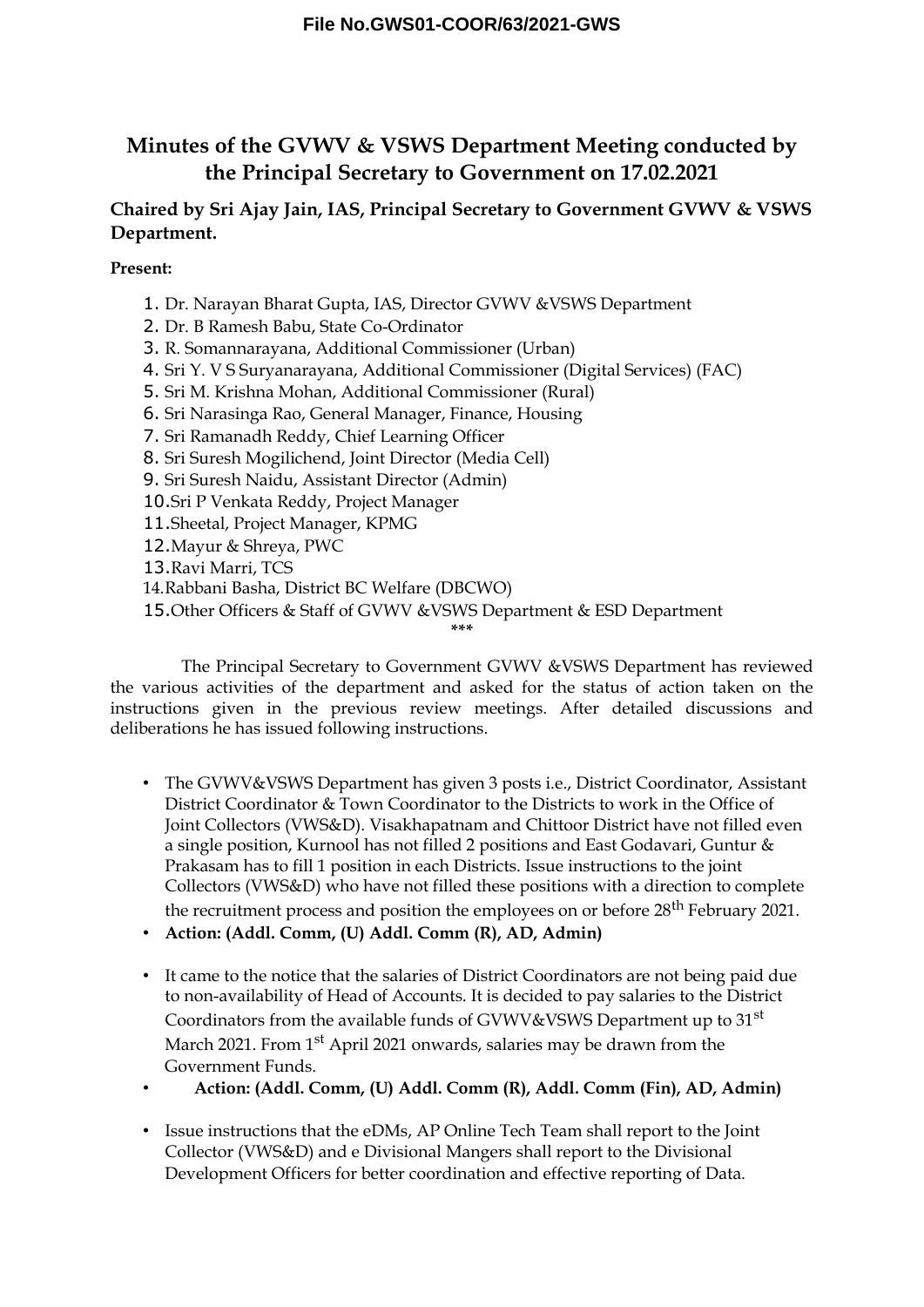# **Minutes of the GVWV & VSWS Department Meeting conducted by the Principal Secretary to Government on 17.02.2021**

## **Chaired by Sri Ajay Jain, IAS, Principal Secretary to Government GVWV & VSWS Department.**

**Present:**

1. Dr. Narayan Bharat Gupta, IAS, Director GVWV &VSWS Department

2. Dr. B Ramesh Babu, State Co-Ordinator

3. R. Somannarayana, Additional Commissioner (Urban)

4. Sri Y. V S Suryanarayana, Additional Commissioner (Digital Services) (FAC)

- 5. Sri M. Krishna Mohan, Additional Commissioner (Rural)
- 6. Sri Narasinga Rao, General Manager, Finance, Housing
- 7. Sri Ramanadh Reddy, Chief Learning Officer
- 8. Sri Suresh Mogilichend, Joint Director (Media Cell)
- 9. Sri Suresh Naidu, Assistant Director (Admin)

10.Sri P Venkata Reddy, Project Manager

- 11.Sheetal, Project Manager, KPMG
- 12.Mayur & Shreya, PWC

13.Ravi Marri, TCS

14.Rabbani Basha, District BC Welfare (DBCWO)

15.Other Officers & Staff of GVWV &VSWS Department & ESD Department

**\*\*\***

The Principal Secretary to Government GVWV &VSWS Department has reviewed the various activities of the department and asked for the status of action taken on the instructions given in the previous review meetings. After detailed discussions and deliberations he has issued following instructions.

- The GVWV&VSWS Department has given 3 posts i.e., District Coordinator, Assistant District Coordinator & Town Coordinator to the Districts to work in the Office of Joint Collectors (VWS&D). Visakhapatnam and Chittoor District have not filled even a single position, Kurnool has not filled 2 positions and East Godavari, Guntur & Prakasam has to fill 1 position in each Districts. Issue instructions to the joint Collectors (VWS&D) who have not filled these positions with a direction to complete the recruitment process and position the employees on or before  $28<sup>th</sup>$  February 2021.
- **Action: (Addl. Comm, (U) Addl. Comm (R), AD, Admin)**
- It came to the notice that the salaries of District Coordinators are not being paid due to non-availability of Head of Accounts. It is decided to pay salaries to the District Coordinators from the available funds of GVWV&VSWS Department up to 31<sup>st</sup> March 2021. From 1<sup>st</sup> April 2021 onwards, salaries may be drawn from the Government Funds.
- **Action: (Addl. Comm, (U) Addl. Comm (R), Addl. Comm (Fin), AD, Admin)**
- Issue instructions that the eDMs, AP Online Tech Team shall report to the Joint Collector (VWS&D) and e Divisional Mangers shall report to the Divisional Development Officers for better coordination and effective reporting of Data.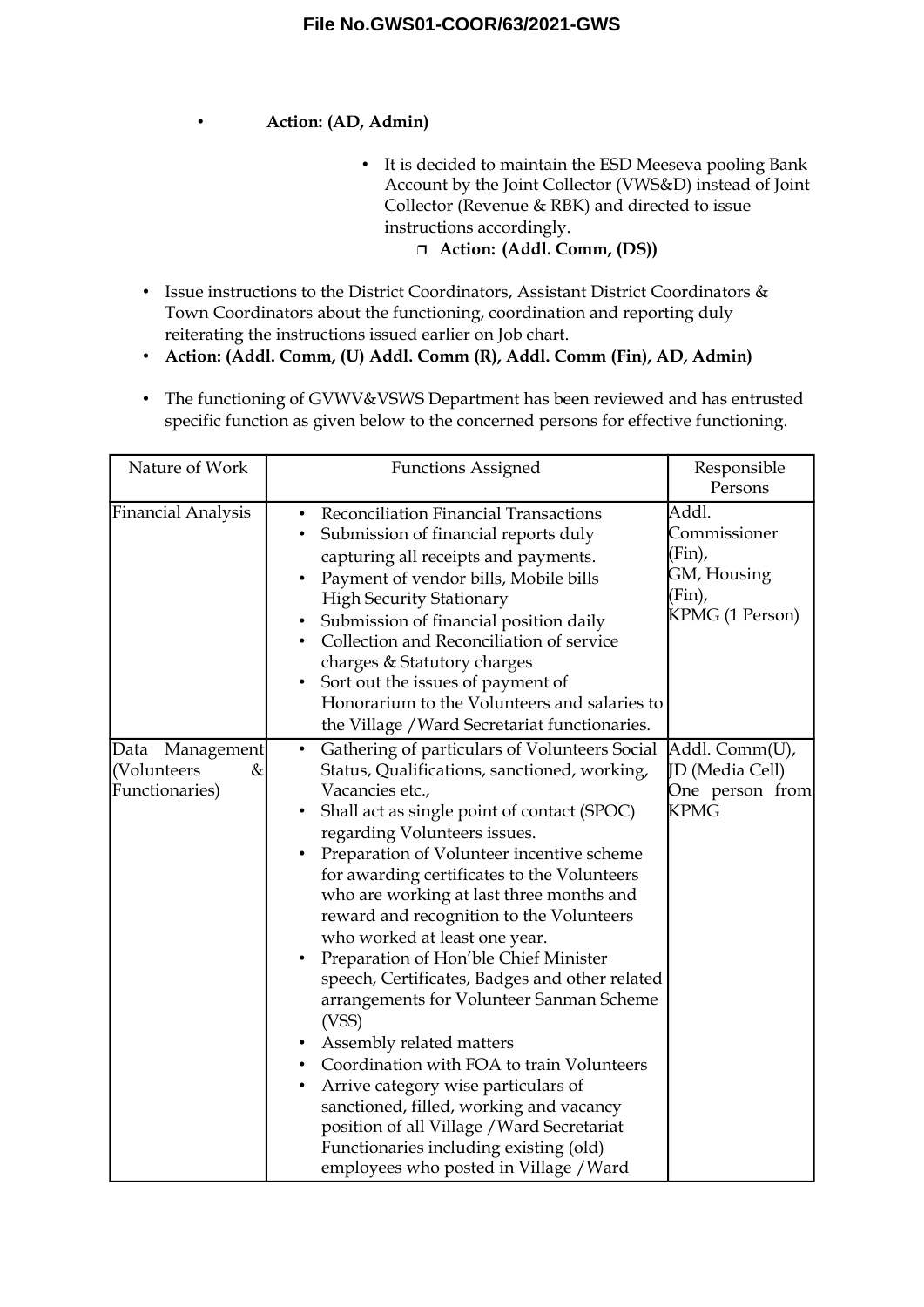#### • **Action: (AD, Admin)**

• It is decided to maintain the ESD Meeseva pooling Bank Account by the Joint Collector (VWS&D) instead of Joint Collector (Revenue & RBK) and directed to issue instructions accordingly.

#### **Action: (Addl. Comm, (DS))**

- Issue instructions to the District Coordinators, Assistant District Coordinators & Town Coordinators about the functioning, coordination and reporting duly reiterating the instructions issued earlier on Job chart.
- **Action: (Addl. Comm, (U) Addl. Comm (R), Addl. Comm (Fin), AD, Admin)**
- The functioning of GVWV&VSWS Department has been reviewed and has entrusted specific function as given below to the concerned persons for effective functioning.

| Nature of Work                                                | <b>Functions Assigned</b>                                                                                                                                                                                                                                                                                                                                                                                                                                                                                                                                                                                                                                                                                                                                                                                                                                                                                                  | Responsible<br>Persons                                                      |
|---------------------------------------------------------------|----------------------------------------------------------------------------------------------------------------------------------------------------------------------------------------------------------------------------------------------------------------------------------------------------------------------------------------------------------------------------------------------------------------------------------------------------------------------------------------------------------------------------------------------------------------------------------------------------------------------------------------------------------------------------------------------------------------------------------------------------------------------------------------------------------------------------------------------------------------------------------------------------------------------------|-----------------------------------------------------------------------------|
| Financial Analysis                                            | Reconciliation Financial Transactions<br>$\bullet$<br>Submission of financial reports duly<br>$\bullet$<br>capturing all receipts and payments.<br>Payment of vendor bills, Mobile bills<br>$\bullet$<br><b>High Security Stationary</b><br>Submission of financial position daily<br>$\bullet$<br>Collection and Reconciliation of service<br>charges & Statutory charges<br>Sort out the issues of payment of<br>٠<br>Honorarium to the Volunteers and salaries to<br>the Village / Ward Secretariat functionaries.                                                                                                                                                                                                                                                                                                                                                                                                      | Addl.<br>Commissioner<br>(Fin),<br>GM, Housing<br>(Fin),<br>KPMG (1 Person) |
| Data Management<br>(Volunteers<br>$\propto$<br>Functionaries) | Gathering of particulars of Volunteers Social<br>$\bullet$<br>Status, Qualifications, sanctioned, working,<br>Vacancies etc.,<br>Shall act as single point of contact (SPOC)<br>٠<br>regarding Volunteers issues.<br>Preparation of Volunteer incentive scheme<br>$\bullet$<br>for awarding certificates to the Volunteers<br>who are working at last three months and<br>reward and recognition to the Volunteers<br>who worked at least one year.<br>Preparation of Hon'ble Chief Minister<br>$\bullet$<br>speech, Certificates, Badges and other related<br>arrangements for Volunteer Sanman Scheme<br>(VSS)<br>Assembly related matters<br>Coordination with FOA to train Volunteers<br>Arrive category wise particulars of<br>$\bullet$<br>sanctioned, filled, working and vacancy<br>position of all Village / Ward Secretariat<br>Functionaries including existing (old)<br>employees who posted in Village / Ward | Addl. Comm(U),<br>JD (Media Cell)<br>One person from<br><b>KPMG</b>         |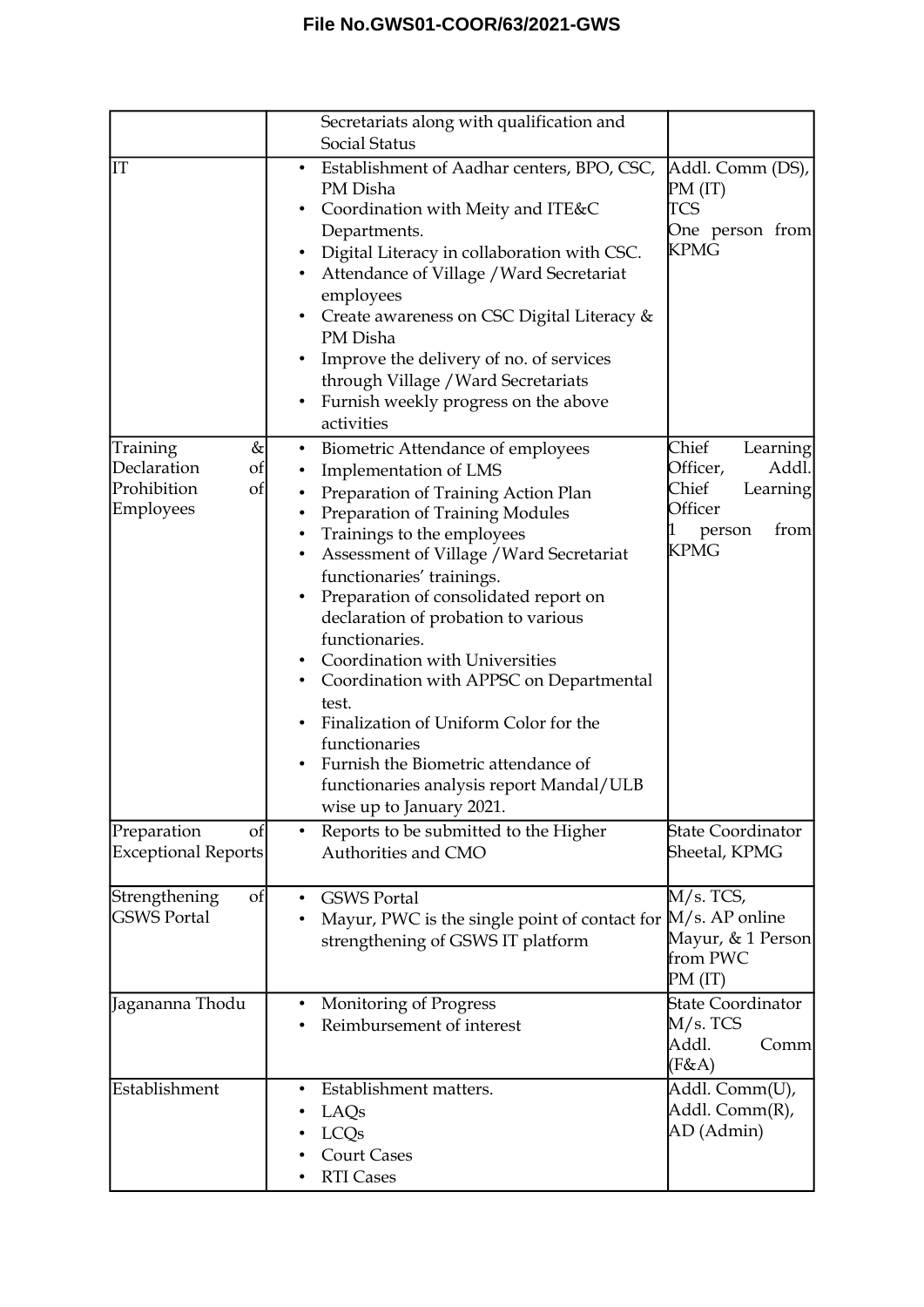|                                                                              | Secretariats along with qualification and<br>Social Status                                                                                                                                                                                                                                                                                                                                                                                                                                                                                                                                                                                                                                             |                                                                                                              |
|------------------------------------------------------------------------------|--------------------------------------------------------------------------------------------------------------------------------------------------------------------------------------------------------------------------------------------------------------------------------------------------------------------------------------------------------------------------------------------------------------------------------------------------------------------------------------------------------------------------------------------------------------------------------------------------------------------------------------------------------------------------------------------------------|--------------------------------------------------------------------------------------------------------------|
| IT                                                                           | Establishment of Aadhar centers, BPO, CSC,<br>$\bullet$<br>PM Disha<br>Coordination with Meity and ITE&C<br>٠<br>Departments.<br>Digital Literacy in collaboration with CSC.<br>$\bullet$<br>Attendance of Village / Ward Secretariat<br>٠<br>employees<br>Create awareness on CSC Digital Literacy $&$<br>$\bullet$<br>PM Disha<br>Improve the delivery of no. of services<br>through Village / Ward Secretariats<br>Furnish weekly progress on the above<br>$\bullet$<br>activities                                                                                                                                                                                                                  | Addl. Comm (DS),<br>PM (IT)<br><b>TCS</b><br>One person from<br><b>KPMG</b>                                  |
| Training<br>$\propto$<br>Declaration<br>of<br>Prohibition<br>of<br>Employees | Biometric Attendance of employees<br>$\bullet$<br>Implementation of LMS<br>$\bullet$<br>Preparation of Training Action Plan<br>٠<br>Preparation of Training Modules<br>٠<br>Trainings to the employees<br>$\bullet$<br>Assessment of Village / Ward Secretariat<br>٠<br>functionaries' trainings.<br>Preparation of consolidated report on<br>$\bullet$<br>declaration of probation to various<br>functionaries.<br>Coordination with Universities<br>٠<br>Coordination with APPSC on Departmental<br>٠<br>test.<br>Finalization of Uniform Color for the<br>functionaries<br>Furnish the Biometric attendance of<br>$\bullet$<br>functionaries analysis report Mandal/ULB<br>wise up to January 2021. | Chief<br>Learning<br>Officer,<br>Addl.<br>Chief<br>Learning<br>Officer<br>from<br>1<br>person<br><b>KPMG</b> |
| Preparation<br>of<br>Exceptional Reports                                     | Reports to be submitted to the Higher<br>$\bullet$<br>Authorities and CMO                                                                                                                                                                                                                                                                                                                                                                                                                                                                                                                                                                                                                              | <b>State Coordinator</b><br>Sheetal, KPMG                                                                    |
| Strengthening<br>of<br><b>GSWS Portal</b>                                    | <b>GSWS Portal</b><br>$\bullet$<br>Mayur, PWC is the single point of contact for M/s. AP online<br>strengthening of GSWS IT platform                                                                                                                                                                                                                                                                                                                                                                                                                                                                                                                                                                   | $M/s$ . TCS,<br>Mayur, & 1 Person<br>from PWC<br>PM (IT)                                                     |
| Jagananna Thodu                                                              | Monitoring of Progress<br>٠<br>Reimbursement of interest                                                                                                                                                                                                                                                                                                                                                                                                                                                                                                                                                                                                                                               | <b>State Coordinator</b><br>M/s. TCS<br>Addl.<br>Comm<br>(F & A)                                             |
| Establishment                                                                | Establishment matters.<br>$\bullet$<br>LAQ <sub>s</sub><br>LCQs<br><b>Court Cases</b><br><b>RTI Cases</b>                                                                                                                                                                                                                                                                                                                                                                                                                                                                                                                                                                                              | Addl. Comm(U),<br>Addl. Comm(R),<br>AD (Admin)                                                               |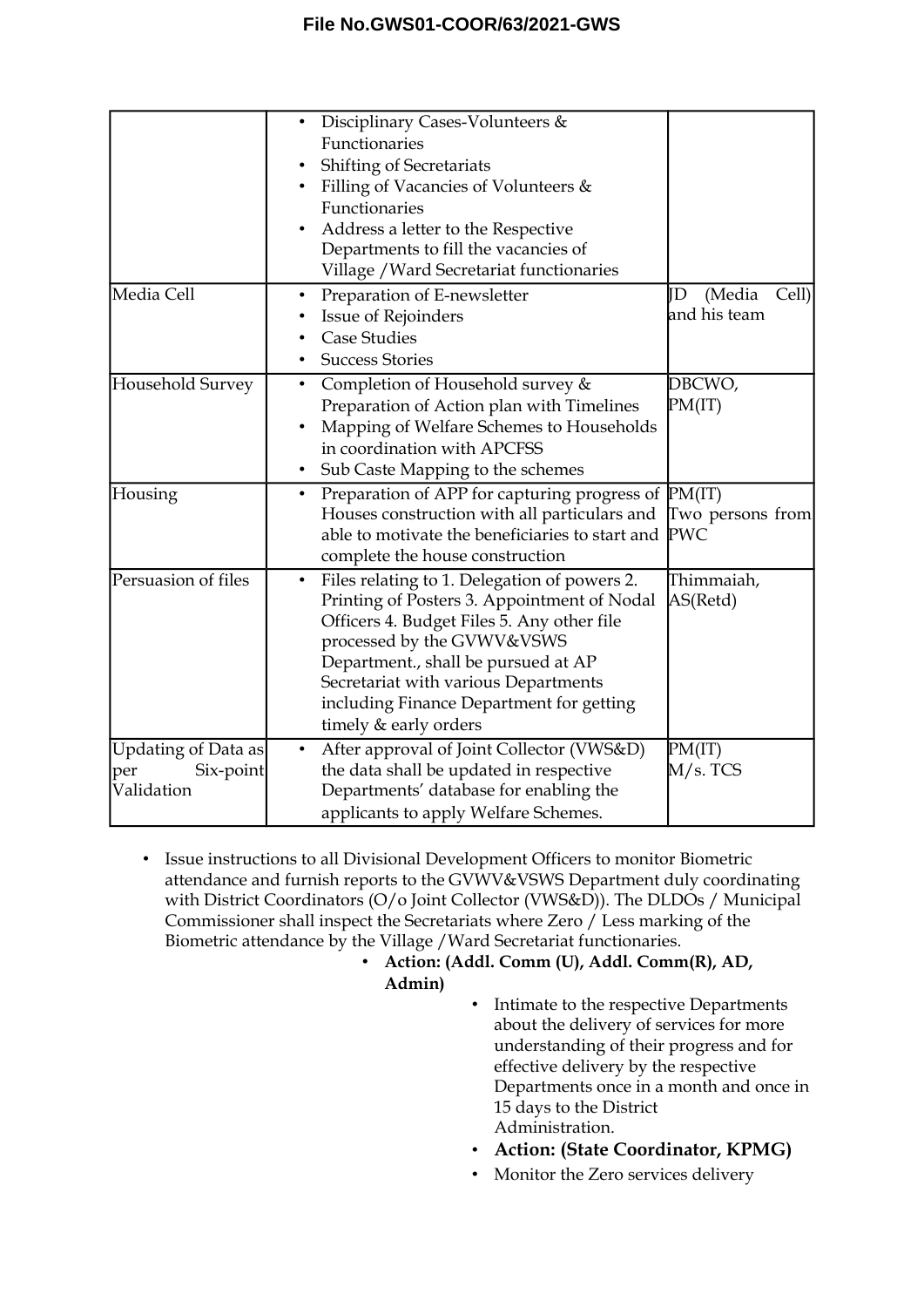|                                                       | Disciplinary Cases-Volunteers &<br>$\bullet$<br>Functionaries<br>Shifting of Secretariats<br>Filling of Vacancies of Volunteers &<br>Functionaries<br>Address a letter to the Respective<br>Departments to fill the vacancies of<br>Village / Ward Secretariat functionaries                                                             |                                       |
|-------------------------------------------------------|------------------------------------------------------------------------------------------------------------------------------------------------------------------------------------------------------------------------------------------------------------------------------------------------------------------------------------------|---------------------------------------|
| Media Cell                                            | Preparation of E-newsletter<br>$\bullet$<br>Issue of Rejoinders<br><b>Case Studies</b><br><b>Success Stories</b>                                                                                                                                                                                                                         | (Media<br>Cell)<br>ΙD<br>and his team |
| Household Survey                                      | Completion of Household survey &<br>$\bullet$<br>Preparation of Action plan with Timelines<br>Mapping of Welfare Schemes to Households<br>in coordination with APCFSS<br>Sub Caste Mapping to the schemes<br>$\bullet$                                                                                                                   | DBCWO,<br>PM(IT)                      |
| Housing                                               | Preparation of APP for capturing progress of PM(IT)<br>$\bullet$<br>Houses construction with all particulars and<br>able to motivate the beneficiaries to start and PWC<br>complete the house construction                                                                                                                               | Two persons from                      |
| Persuasion of files                                   | Files relating to 1. Delegation of powers 2.<br>$\bullet$<br>Printing of Posters 3. Appointment of Nodal<br>Officers 4. Budget Files 5. Any other file<br>processed by the GVWV&VSWS<br>Department., shall be pursued at AP<br>Secretariat with various Departments<br>including Finance Department for getting<br>timely & early orders | Thimmaiah,<br>AS(Retd)                |
| Updating of Data as<br>Six-point<br>per<br>Validation | After approval of Joint Collector (VWS&D)<br>$\bullet$<br>the data shall be updated in respective<br>Departments' database for enabling the<br>applicants to apply Welfare Schemes.                                                                                                                                                      | PM(IT)<br>M/s. TCS                    |

- Issue instructions to all Divisional Development Officers to monitor Biometric attendance and furnish reports to the GVWV&VSWS Department duly coordinating with District Coordinators (O/o Joint Collector (VWS&D)). The DLDOs / Municipal Commissioner shall inspect the Secretariats where Zero / Less marking of the Biometric attendance by the Village /Ward Secretariat functionaries.
	- **Action: (Addl. Comm (U), Addl. Comm(R), AD,**

**Admin)**

- Intimate to the respective Departments about the delivery of services for more understanding of their progress and for effective delivery by the respective Departments once in a month and once in 15 days to the District Administration.
- **Action: (State Coordinator, KPMG)**
- Monitor the Zero services delivery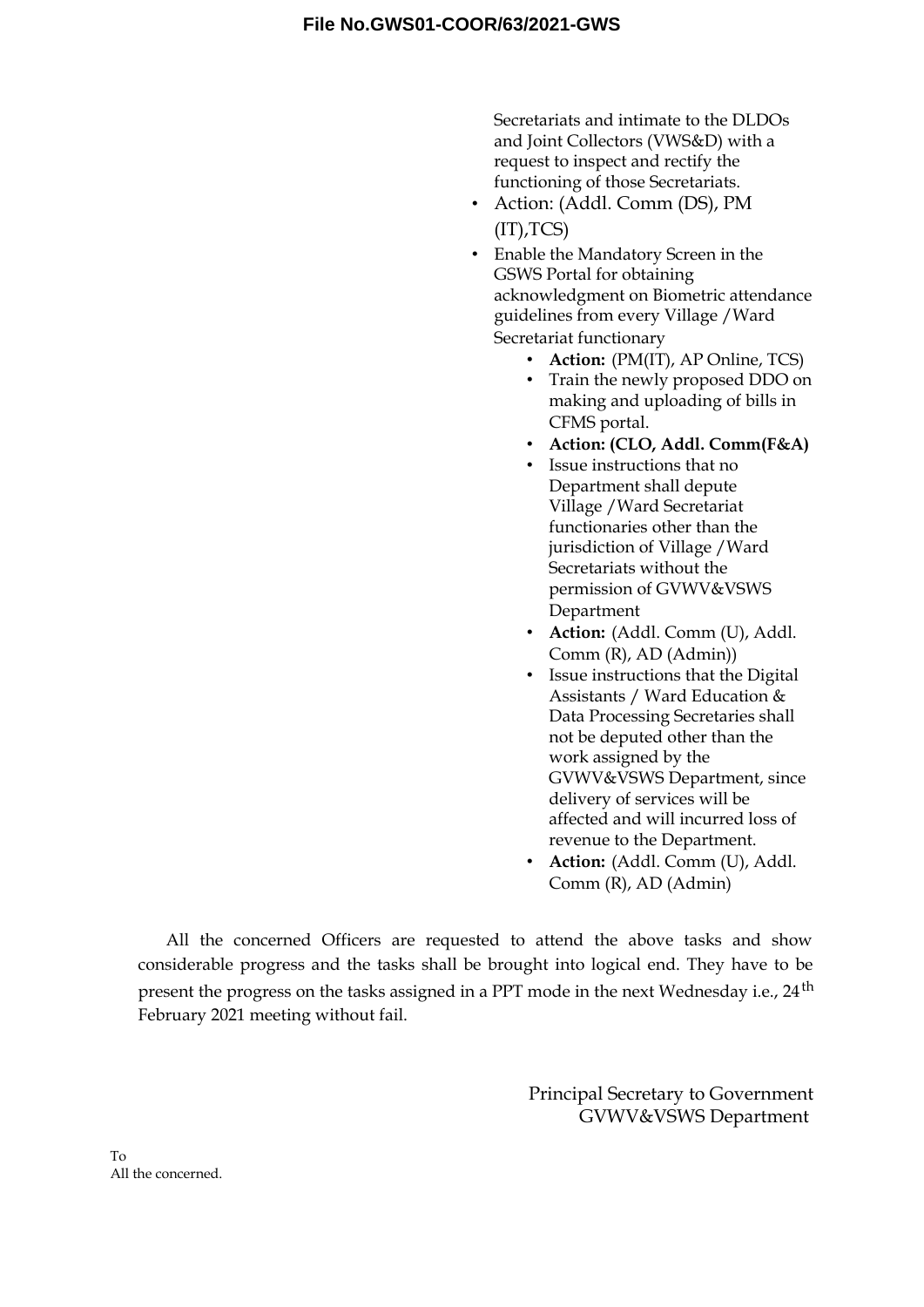Secretariats and intimate to the DLDOs and Joint Collectors (VWS&D) with a request to inspect and rectify the functioning of those Secretariats.

- Action: (Addl. Comm (DS), PM  $(IT)$ , TCS)
- Enable the Mandatory Screen in the GSWS Portal for obtaining acknowledgment on Biometric attendance guidelines from every Village /Ward Secretariat functionary
	- **Action:** (PM(IT), AP Online, TCS)
	- Train the newly proposed DDO on making and uploading of bills in CFMS portal.
	- **Action: (CLO, Addl. Comm(F&A)**
	- Issue instructions that no Department shall depute Village /Ward Secretariat functionaries other than the jurisdiction of Village /Ward Secretariats without the permission of GVWV&VSWS Department
	- **Action:** (Addl. Comm (U), Addl. Comm (R), AD (Admin))
	- Issue instructions that the Digital Assistants / Ward Education & Data Processing Secretaries shall not be deputed other than the work assigned by the GVWV&VSWS Department, since delivery of services will be affected and will incurred loss of revenue to the Department.
	- **Action:** (Addl. Comm (U), Addl. Comm (R), AD (Admin)

All the concerned Officers are requested to attend the above tasks and show considerable progress and the tasks shall be brought into logical end. They have to be present the progress on the tasks assigned in a PPT mode in the next Wednesday i.e., 24<sup>th</sup> February 2021 meeting without fail.

> Principal Secretary to Government GVWV&VSWS Department